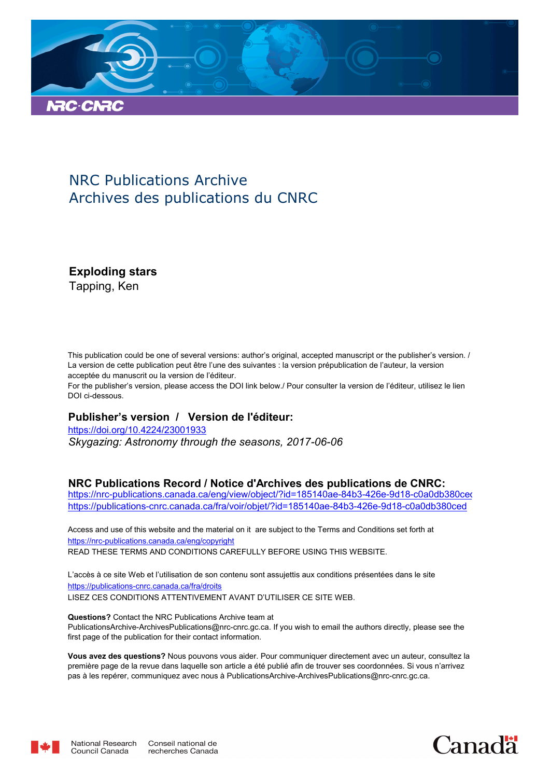

## NRC Publications Archive Archives des publications du CNRC

**Exploding stars**

Tapping, Ken

This publication could be one of several versions: author's original, accepted manuscript or the publisher's version. / La version de cette publication peut être l'une des suivantes : la version prépublication de l'auteur, la version acceptée du manuscrit ou la version de l'éditeur.

For the publisher's version, please access the DOI link below./ Pour consulter la version de l'éditeur, utilisez le lien DOI ci-dessous.

## **Publisher's version / Version de l'éditeur:**

*Skygazing: Astronomy through the seasons, 2017-06-06* https://doi.org/10.4224/23001933

## **NRC Publications Record / Notice d'Archives des publications de CNRC:**

https://nrc-publications.canada.ca/eng/view/object/?id=185140ae-84b3-426e-9d18-c0a0db380ceo https://publications-cnrc.canada.ca/fra/voir/objet/?id=185140ae-84b3-426e-9d18-c0a0db380ced

READ THESE TERMS AND CONDITIONS CAREFULLY BEFORE USING THIS WEBSITE. https://nrc-publications.canada.ca/eng/copyright Access and use of this website and the material on it are subject to the Terms and Conditions set forth at

https://publications-cnrc.canada.ca/fra/droits L'accès à ce site Web et l'utilisation de son contenu sont assujettis aux conditions présentées dans le site LISEZ CES CONDITIONS ATTENTIVEMENT AVANT D'UTILISER CE SITE WEB.

**Questions?** Contact the NRC Publications Archive team at PublicationsArchive-ArchivesPublications@nrc-cnrc.gc.ca. If you wish to email the authors directly, please see the first page of the publication for their contact information.

**Vous avez des questions?** Nous pouvons vous aider. Pour communiquer directement avec un auteur, consultez la première page de la revue dans laquelle son article a été publié afin de trouver ses coordonnées. Si vous n'arrivez pas à les repérer, communiquez avec nous à PublicationsArchive-ArchivesPublications@nrc-cnrc.gc.ca.